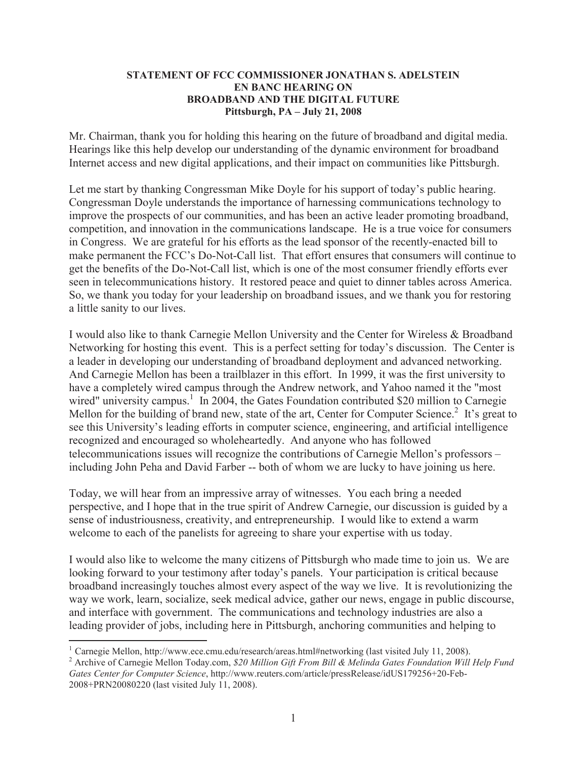## **STATEMENT OF FCC COMMISSIONER JONATHAN S. ADELSTEIN EN BANC HEARING ON BROADBAND AND THE DIGITAL FUTURE Pittsburgh, PA – July 21, 2008**

Mr. Chairman, thank you for holding this hearing on the future of broadband and digital media. Hearings like this help develop our understanding of the dynamic environment for broadband Internet access and new digital applications, and their impact on communities like Pittsburgh.

Let me start by thanking Congressman Mike Doyle for his support of today's public hearing. Congressman Doyle understands the importance of harnessing communications technology to improve the prospects of our communities, and has been an active leader promoting broadband, competition, and innovation in the communications landscape. He is a true voice for consumers in Congress. We are grateful for his efforts as the lead sponsor of the recently-enacted bill to make permanent the FCC's Do-Not-Call list. That effort ensures that consumers will continue to get the benefits of the Do-Not-Call list, which is one of the most consumer friendly efforts ever seen in telecommunications history. It restored peace and quiet to dinner tables across America. So, we thank you today for your leadership on broadband issues, and we thank you for restoring a little sanity to our lives.

I would also like to thank Carnegie Mellon University and the Center for Wireless & Broadband Networking for hosting this event. This is a perfect setting for today's discussion. The Center is a leader in developing our understanding of broadband deployment and advanced networking. And Carnegie Mellon has been a trailblazer in this effort. In 1999, it was the first university to have a completely wired campus through the Andrew network, and Yahoo named it the "most wired" university campus.<sup>1</sup> In 2004, the Gates Foundation contributed \$20 million to Carnegie Mellon for the building of brand new, state of the art, Center for Computer Science.<sup>2</sup> It's great to see this University's leading efforts in computer science, engineering, and artificial intelligence recognized and encouraged so wholeheartedly. And anyone who has followed telecommunications issues will recognize the contributions of Carnegie Mellon's professors – including John Peha and David Farber -- both of whom we are lucky to have joining us here.

Today, we will hear from an impressive array of witnesses. You each bring a needed perspective, and I hope that in the true spirit of Andrew Carnegie, our discussion is guided by a sense of industriousness, creativity, and entrepreneurship. I would like to extend a warm welcome to each of the panelists for agreeing to share your expertise with us today.

I would also like to welcome the many citizens of Pittsburgh who made time to join us. We are looking forward to your testimony after today's panels. Your participation is critical because broadband increasingly touches almost every aspect of the way we live. It is revolutionizing the way we work, learn, socialize, seek medical advice, gather our news, engage in public discourse, and interface with government. The communications and technology industries are also a leading provider of jobs, including here in Pittsburgh, anchoring communities and helping to

<sup>&</sup>lt;sup>1</sup> Carnegie Mellon, http://www.ece.cmu.edu/research/areas.html#networking (last visited July 11, 2008).

<sup>2</sup> Archive of Carnegie Mellon Today.com, *\$20 Million Gift From Bill & Melinda Gates Foundation Will Help Fund Gates Center for Computer Science*, http://www.reuters.com/article/pressRelease/idUS179256+20-Feb-2008+PRN20080220 (last visited July 11, 2008).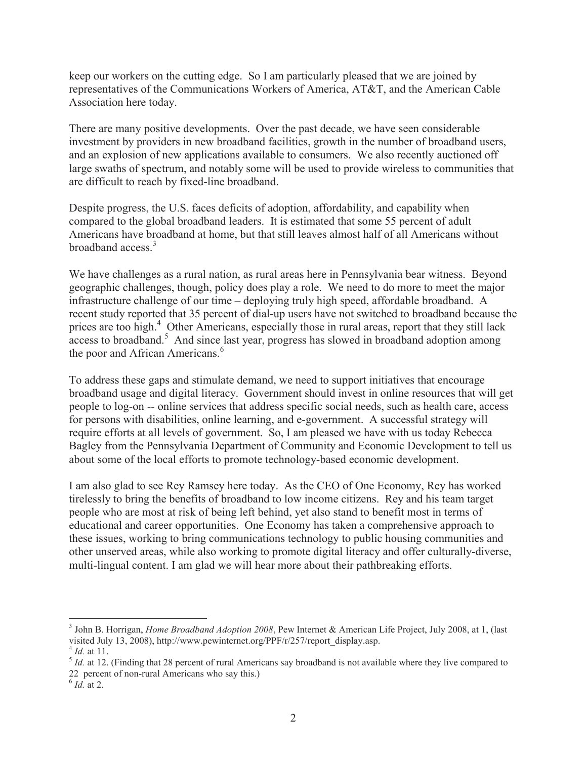keep our workers on the cutting edge. So I am particularly pleased that we are joined by representatives of the Communications Workers of America, AT&T, and the American Cable Association here today.

There are many positive developments. Over the past decade, we have seen considerable investment by providers in new broadband facilities, growth in the number of broadband users, and an explosion of new applications available to consumers. We also recently auctioned off large swaths of spectrum, and notably some will be used to provide wireless to communities that are difficult to reach by fixed-line broadband.

Despite progress, the U.S. faces deficits of adoption, affordability, and capability when compared to the global broadband leaders. It is estimated that some 55 percent of adult Americans have broadband at home, but that still leaves almost half of all Americans without broadband  $access^3$ 

We have challenges as a rural nation, as rural areas here in Pennsylvania bear witness. Beyond geographic challenges, though, policy does play a role. We need to do more to meet the major infrastructure challenge of our time – deploying truly high speed, affordable broadband. A recent study reported that 35 percent of dial-up users have not switched to broadband because the prices are too high.<sup>4</sup> Other Americans, especially those in rural areas, report that they still lack access to broadband.<sup>5</sup> And since last year, progress has slowed in broadband adoption among the poor and African Americans.<sup>6</sup>

To address these gaps and stimulate demand, we need to support initiatives that encourage broadband usage and digital literacy. Government should invest in online resources that will get people to log-on -- online services that address specific social needs, such as health care, access for persons with disabilities, online learning, and e-government. A successful strategy will require efforts at all levels of government. So, I am pleased we have with us today Rebecca Bagley from the Pennsylvania Department of Community and Economic Development to tell us about some of the local efforts to promote technology-based economic development.

I am also glad to see Rey Ramsey here today. As the CEO of One Economy, Rey has worked tirelessly to bring the benefits of broadband to low income citizens. Rey and his team target people who are most at risk of being left behind, yet also stand to benefit most in terms of educational and career opportunities. One Economy has taken a comprehensive approach to these issues, working to bring communications technology to public housing communities and other unserved areas, while also working to promote digital literacy and offer culturally-diverse, multi-lingual content. I am glad we will hear more about their pathbreaking efforts.

<sup>3</sup> John B. Horrigan, *Home Broadband Adoption 2008*, Pew Internet & American Life Project, July 2008, at 1, (last visited July 13, 2008), http://www.pewinternet.org/PPF/r/257/report\_display.asp.

<sup>4</sup> *Id.* at 11.

<sup>&</sup>lt;sup>5</sup> *Id.* at 12. (Finding that 28 percent of rural Americans say broadband is not available where they live compared to 22 percent of non-rural Americans who say this.)

<sup>6</sup> *Id.* at 2.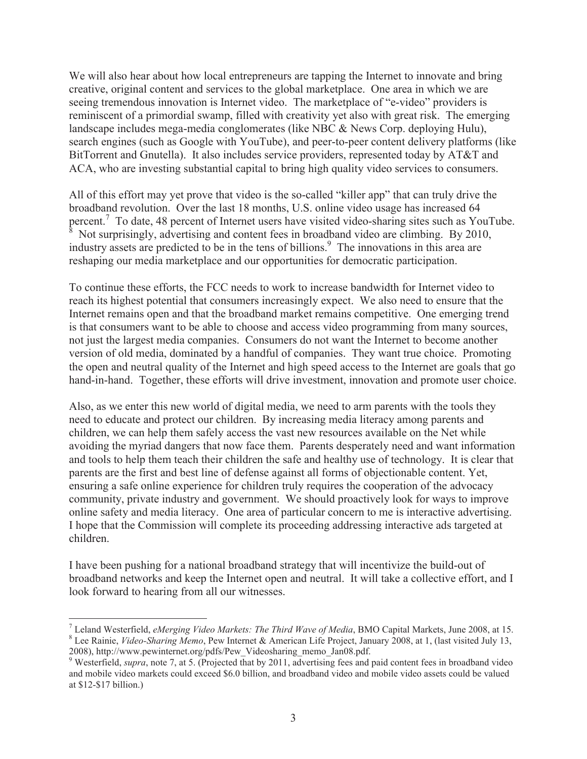We will also hear about how local entrepreneurs are tapping the Internet to innovate and bring creative, original content and services to the global marketplace. One area in which we are seeing tremendous innovation is Internet video. The marketplace of "e-video" providers is reminiscent of a primordial swamp, filled with creativity yet also with great risk. The emerging landscape includes mega-media conglomerates (like NBC & News Corp. deploying Hulu), search engines (such as Google with YouTube), and peer-to-peer content delivery platforms (like BitTorrent and Gnutella). It also includes service providers, represented today by AT&T and ACA, who are investing substantial capital to bring high quality video services to consumers.

All of this effort may yet prove that video is the so-called "killer app" that can truly drive the broadband revolution. Over the last 18 months, U.S. online video usage has increased 64 percent.<sup>7</sup> To date, 48 percent of Internet users have visited video-sharing sites such as YouTube. <sup>8</sup> Not surprisingly, advertising and content fees in broadband video are climbing. By 2010, industry assets are predicted to be in the tens of billions.<sup>9</sup> The innovations in this area are reshaping our media marketplace and our opportunities for democratic participation.

To continue these efforts, the FCC needs to work to increase bandwidth for Internet video to reach its highest potential that consumers increasingly expect. We also need to ensure that the Internet remains open and that the broadband market remains competitive. One emerging trend is that consumers want to be able to choose and access video programming from many sources, not just the largest media companies. Consumers do not want the Internet to become another version of old media, dominated by a handful of companies. They want true choice. Promoting the open and neutral quality of the Internet and high speed access to the Internet are goals that go hand-in-hand. Together, these efforts will drive investment, innovation and promote user choice.

Also, as we enter this new world of digital media, we need to arm parents with the tools they need to educate and protect our children. By increasing media literacy among parents and children, we can help them safely access the vast new resources available on the Net while avoiding the myriad dangers that now face them. Parents desperately need and want information and tools to help them teach their children the safe and healthy use of technology. It is clear that parents are the first and best line of defense against all forms of objectionable content. Yet, ensuring a safe online experience for children truly requires the cooperation of the advocacy community, private industry and government. We should proactively look for ways to improve online safety and media literacy. One area of particular concern to me is interactive advertising. I hope that the Commission will complete its proceeding addressing interactive ads targeted at children.

I have been pushing for a national broadband strategy that will incentivize the build-out of broadband networks and keep the Internet open and neutral. It will take a collective effort, and I look forward to hearing from all our witnesses.

<sup>7</sup> Leland Westerfield, *eMerging Video Markets: The Third Wave of Media*, BMO Capital Markets, June 2008, at 15. <sup>8</sup> Lee Rainie, *Video-Sharing Memo*, Pew Internet & American Life Project, January 2008, at 1, (last visited July 13, 2008), http://www.pewinternet.org/pdfs/Pew\_Videosharing\_memo\_Jan08.pdf.

<sup>&</sup>lt;sup>9</sup> Westerfield, *supra*, note 7, at 5. (Projected that by 2011, advertising fees and paid content fees in broadband video and mobile video markets could exceed \$6.0 billion, and broadband video and mobile video assets could be valued at \$12-\$17 billion.)